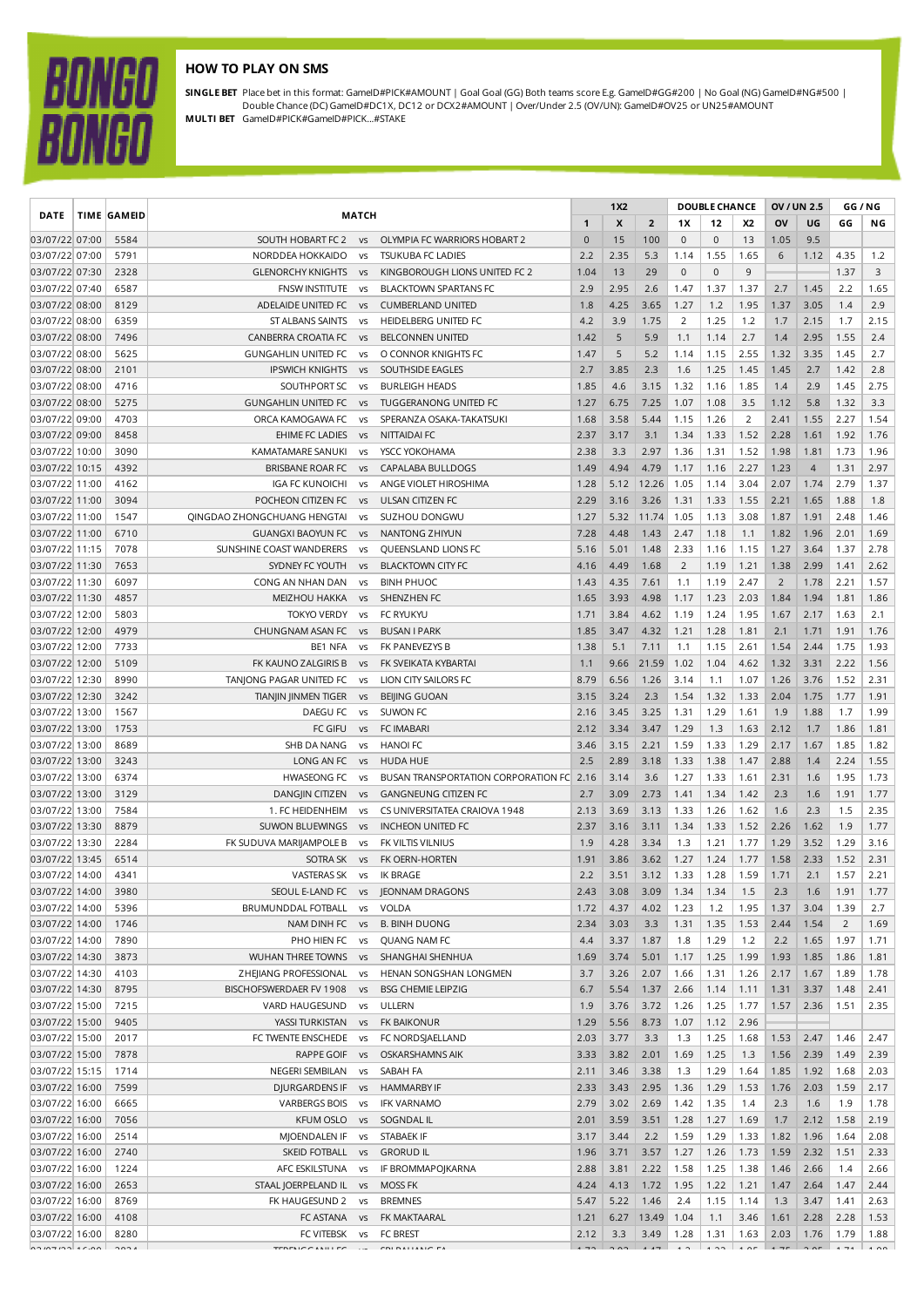## **HOW TO PLAY ON SMS**

**BONGO<br>BONGO** 

**SINGLE BET** Place bet in this format: GameID#PICK#AMOUNT | Goal Goal (GG) Both teams score E.g. GameID#GG#200 | No Goal (NG) GameID#NG#500 | Double Chance (DC) GameID#DC1X, DC12 or DCX2#AMOUNT | Over/Under 2.5 (OV/UN): GameID#OV25 or UN25#AMOUNT **MULTI BET** GameID#PICK#GameID#PICK...#STAKE

|                                  |  | <b>DATE</b>          |                                                      | <b>TIME GAMEID</b>     | <b>MATCH</b>                                    |              |              |                |                |              | <b>DOUBLE CHANCE</b> |                | OV / UN 2.5    |                | GG / NG       |  |
|----------------------------------|--|----------------------|------------------------------------------------------|------------------------|-------------------------------------------------|--------------|--------------|----------------|----------------|--------------|----------------------|----------------|----------------|----------------|---------------|--|
|                                  |  |                      |                                                      |                        |                                                 | $\mathbf{1}$ | X            | $\overline{2}$ | 1X             | 12           | <b>X2</b>            | OV             | UG             | GG             | ΝG            |  |
| 03/07/22 07:00                   |  | 5584                 | SOUTH HOBART FC 2                                    | <b>VS</b>              | OLYMPIA FC WARRIORS HOBART 2                    | $\mathbf 0$  | 15           | 100            | $\mathbf 0$    | $\mathbf 0$  | 13                   | 1.05           | 9.5            |                |               |  |
| 03/07/22 07:00                   |  | 5791                 | NORDDEA HOKKAIDO                                     | <b>VS</b>              | <b>TSUKUBA FC LADIES</b>                        | 2.2          | 2.35         | 5.3            | 1.14           | 1.55         | 1.65                 | 6              | 1.12           | 4.35           | 1.2           |  |
| 03/07/22 07:30                   |  | 2328                 | <b>GLENORCHY KNIGHTS</b>                             | <b>VS</b>              | KINGBOROUGH LIONS UNITED FC 2                   | 1.04         | 13           | 29             | $\mathbf 0$    | $\mathbf{0}$ | 9                    |                |                | 1.37           | 3             |  |
| 03/07/22 07:40                   |  | 6587                 | <b>FNSW INSTITUTE</b>                                | VS                     | <b>BLACKTOWN SPARTANS FC</b>                    | 2.9          | 2.95         | 2.6            | 1.47           | 1.37         | 1.37                 | 2.7            | 1.45           | 2.2            | 1.65          |  |
| 03/07/22 08:00                   |  | 8129                 | ADELAIDE UNITED FC                                   | VS                     | <b>CUMBERLAND UNITED</b>                        | 1.8          | 4.25         | 3.65           | 1.27           | 1.2          | 1.95                 | 1.37           | 3.05           | 1.4            | 2.9           |  |
| 03/07/22 08:00                   |  | 6359                 | ST ALBANS SAINTS                                     | V <sub>S</sub>         | HEIDELBERG UNITED FC                            | 4.2          | 3.9          | 1.75           | $\overline{2}$ | 1.25         | 1.2                  | 1.7            | 2.15           | 1.7            | 2.15          |  |
| 03/07/22 08:00                   |  | 7496                 | CANBERRA CROATIA FC                                  | <b>VS</b>              | <b>BELCONNEN UNITED</b>                         | 1.42         | 5            | 5.9            | 1.1            | 1.14         | 2.7                  | 1.4            | 2.95           | 1.55           | 2.4           |  |
| 03/07/22 08:00                   |  | 5625                 | <b>GUNGAHLIN UNITED FC</b>                           | VS                     | O CONNOR KNIGHTS FC                             | 1.47         | 5            | 5.2            | 1.14           | 1.15         | 2.55                 | 1.32           | 3.35           | 1.45           | 2.7           |  |
| 03/07/22 08:00                   |  | 2101                 | <b>IPSWICH KNIGHTS</b>                               | <b>VS</b>              | SOUTHSIDE EAGLES                                | 2.7          | 3.85         | 2.3            | 1.6            | 1.25         | 1.45                 | 1.45           | 2.7            | 1.42           | 2.8           |  |
| 03/07/22 08:00                   |  | 4716                 | SOUTHPORT SC                                         | <b>VS</b>              | <b>BURLEIGH HEADS</b>                           | 1.85         | 4.6          | 3.15           | 1.32           | 1.16         | 1.85                 | 1.4            | 2.9            | 1.45           | 2.75          |  |
| 03/07/22 08:00                   |  | 5275                 | <b>GUNGAHLIN UNITED FC</b>                           | <b>VS</b>              | TUGGERANONG UNITED FC                           | 1.27         | 6.75         | 7.25           | 1.07           | 1.08         | 3.5                  | 1.12           | 5.8            | 1.32           | 3.3           |  |
| 03/07/22 09:00                   |  | 4703                 | ORCA KAMOGAWA FC                                     | <b>VS</b>              | SPERANZA OSAKA-TAKATSUKI                        | 1.68         | 3.58         | 5.44           | 1.15           | 1.26         | $\overline{2}$       | 2.41           | 1.55           | 2.27           | 1.54          |  |
| 03/07/22 09:00                   |  | 8458                 | EHIME FC LADIES                                      | <b>VS</b>              | NITTAIDAI FC                                    | 2.37         | 3.17         | 3.1            | 1.34           | 1.33         | 1.52                 | 2.28           | 1.61           | 1.92           | 1.76          |  |
| 03/07/22 10:00                   |  | 3090                 | KAMATAMARE SANUKI                                    | VS                     | YSCC YOKOHAMA                                   | 2.38         | 3.3          | 2.97           | 1.36           | 1.31         | 1.52                 | 1.98           | 1.81           | 1.73           | 1.96          |  |
| 03/07/22 10:15                   |  | 4392                 | BRISBANE ROAR FC                                     | <b>VS</b>              | CAPALABA BULLDOGS                               | 1.49         | 4.94         | 4.79           | 1.17           | 1.16         | 2.27                 | 1.23           | $\overline{4}$ | 1.31           | 2.97          |  |
| 03/07/22 11:00                   |  | 4162<br>3094         | <b>IGA FC KUNOICHI</b><br>POCHEON CITIZEN FC         | VS                     | ANGE VIOLET HIROSHIMA                           | 1.28         | 5.12         | 12.26<br>3.26  | 1.05<br>1.31   | 1.14         | 3.04<br>1.55         | 2.07           | 1.74           | 2.79<br>1.88   | 1.37<br>1.8   |  |
| 03/07/22 11:00<br>03/07/22 11:00 |  | 1547                 | QINGDAO ZHONGCHUANG HENGTAI                          | <b>VS</b>              | ULSAN CITIZEN FC<br>SUZHOU DONGWU               | 2.29         | 3.16         |                | 1.05           | 1.33         | 3.08                 | 2.21           | 1.65           |                | 1.46          |  |
| 03/07/22 11:00                   |  | 6710                 |                                                      | <b>VS</b>              | NANTONG ZHIYUN                                  | 1.27<br>7.28 | 5.32<br>4.48 | 11.74<br>1.43  | 2.47           | 1.13<br>1.18 | 1.1                  | 1.87<br>1.82   | 1.91<br>1.96   | 2.48<br>2.01   | 1.69          |  |
| 03/07/22 11:15                   |  | 7078                 | <b>GUANGXI BAOYUN FC</b><br>SUNSHINE COAST WANDERERS | <b>VS</b>              |                                                 | 5.16         | 5.01         | 1.48           | 2.33           | 1.16         | 1.15                 | 1.27           | 3.64           | 1.37           | 2.78          |  |
| 03/07/22 11:30                   |  | 7653                 | SYDNEY FC YOUTH                                      | <b>VS</b><br><b>VS</b> | QUEENSLAND LIONS FC<br><b>BLACKTOWN CITY FC</b> | 4.16         | 4.49         | 1.68           | $\overline{2}$ | 1.19         | 1.21                 | 1.38           | 2.99           | 1.41           | 2.62          |  |
| 03/07/22 11:30                   |  | 6097                 | CONG AN NHAN DAN                                     | V <sub>S</sub>         | <b>BINH PHUOC</b>                               | 1.43         | 4.35         | 7.61           | 1.1            | 1.19         | 2.47                 | $\overline{2}$ | 1.78           | 2.21           | 1.57          |  |
| 03/07/22 11:30                   |  | 4857                 | <b>MEIZHOU HAKKA</b>                                 | <b>VS</b>              | SHENZHEN FC                                     | 1.65         | 3.93         | 4.98           | 1.17           | 1.23         | 2.03                 | 1.84           | 1.94           | 1.81           | 1.86          |  |
| 03/07/22 12:00                   |  | 5803                 | <b>TOKYO VERDY</b>                                   | VS                     | FC RYUKYU                                       | 1.71         | 3.84         | 4.62           | 1.19           | 1.24         | 1.95                 | 1.67           | 2.17           | 1.63           | 2.1           |  |
| 03/07/22 12:00                   |  | 4979                 | CHUNGNAM ASAN FC                                     | <b>VS</b>              | <b>BUSAN I PARK</b>                             | 1.85         | 3.47         | 4.32           | 1.21           | 1.28         | 1.81                 | 2.1            | 1.71           | 1.91           | 1.76          |  |
| 03/07/22 12:00                   |  | 7733                 | BE1 NFA                                              | <b>VS</b>              | FK PANEVEZYS B                                  | 1.38         | 5.1          | 7.11           | 1.1            | 1.15         | 2.61                 | 1.54           | 2.44           | 1.75           | 1.93          |  |
| 03/07/22 12:00                   |  | 5109                 | FK KAUNO ZALGIRIS B                                  | <b>VS</b>              | FK SVEIKATA KYBARTAI                            | 1.1          | 9.66         | 21.59          | 1.02           | 1.04         | 4.62                 | 1.32           | 3.31           | 2.22           | 1.56          |  |
| 03/07/22 12:30                   |  | 8990                 | TANJONG PAGAR UNITED FC                              | <b>VS</b>              | LION CITY SAILORS FC                            | 8.79         | 6.56         | 1.26           | 3.14           | 1.1          | 1.07                 | 1.26           | 3.76           | 1.52           | 2.31          |  |
| 03/07/22 12:30                   |  | 3242                 | TIANJIN JINMEN TIGER                                 | <b>VS</b>              | <b>BEIJING GUOAN</b>                            | 3.15         | 3.24         | 2.3            | 1.54           | 1.32         | 1.33                 | 2.04           | 1.75           | 1.77           | 1.91          |  |
| 03/07/22 13:00                   |  | 1567                 | DAEGU FC                                             | <b>VS</b>              | SUWON FC                                        | 2.16         | 3.45         | 3.25           | 1.31           | 1.29         | 1.61                 | 1.9            | 1.88           | 1.7            | 1.99          |  |
| 03/07/22 13:00                   |  | 1753                 | FC GIFU                                              | <b>VS</b>              | <b>FC IMABARI</b>                               | 2.12         | 3.34         | 3.47           | 1.29           | 1.3          | 1.63                 | 2.12           | 1.7            | 1.86           | 1.81          |  |
| 03/07/22 13:00                   |  | 8689                 | SHB DA NANG                                          | <b>VS</b>              | <b>HANOI FC</b>                                 | 3.46         | 3.15         | 2.21           | 1.59           | 1.33         | 1.29                 | 2.17           | 1.67           | 1.85           | 1.82          |  |
| 03/07/22 13:00                   |  | 3243                 | LONG AN FC                                           | <b>VS</b>              | <b>HUDA HUE</b>                                 | 2.5          | 2.89         | 3.18           | 1.33           | 1.38         | 1.47                 | 2.88           | 1.4            | 2.24           | 1.55          |  |
| 03/07/22 13:00                   |  | 6374                 | <b>HWASEONG FC</b>                                   | <b>VS</b>              | BUSAN TRANSPORTATION CORPORATION FC             | 2.16         | 3.14         | 3.6            | 1.27           | 1.33         | 1.61                 | 2.31           | 1.6            | 1.95           | 1.73          |  |
| 03/07/22 13:00                   |  | 3129                 | DANGJIN CITIZEN                                      | <b>VS</b>              | <b>GANGNEUNG CITIZEN FC</b>                     | 2.7          | 3.09         | 2.73           | 1.41           | 1.34         | 1.42                 | 2.3            | 1.6            | 1.91           | 1.77          |  |
| 03/07/22 13:00                   |  | 7584                 | 1. FC HEIDENHEIM                                     | <b>VS</b>              | CS UNIVERSITATEA CRAIOVA 1948                   | 2.13         | 3.69         | 3.13           | 1.33           | 1.26         | 1.62                 | 1.6            | 2.3            | 1.5            | 2.35          |  |
| 03/07/22 13:30                   |  | 8879                 | <b>SUWON BLUEWINGS</b>                               | <b>VS</b>              | <b>INCHEON UNITED FC</b>                        | 2.37         | 3.16         | 3.11           | 1.34           | 1.33         | 1.52                 | 2.26           | 1.62           | 1.9            | 1.77          |  |
| 03/07/22 13:30                   |  | 2284                 | FK SUDUVA MARIJAMPOLE B                              | VS                     | FK VILTIS VILNIUS                               | 1.9          | 4.28         | 3.34           | 1.3            | 1.21         | 1.77                 | 1.29           | 3.52           | 1.29           | 3.16          |  |
| 03/07/22 13:45                   |  | 6514                 | SOTRA SK                                             | <b>VS</b>              | FK OERN-HORTEN                                  | 1.91         | 3.86         | 3.62           | 1.27           | 1.24         | 1.77                 | 1.58           | 2.33           | 1.52           | 2.31          |  |
| 03/07/22 14:00                   |  | 4341                 | <b>VASTERAS SK</b>                                   | VS                     | IK BRAGE                                        | 2.2          | 3.51         | 3.12           | 1.33           | 1.28         | 1.59                 | 1.71           | 2.1            | 1.57           | 2.21          |  |
| 03/07/22 14:00                   |  | 3980                 |                                                      |                        | SEOUL E-LAND FC vs JEONNAM DRAGONS              |              | 2.43 3.08    | 3.09           | 1.34           | 1.34         | 1.5                  | 2.3            | 1.6            | 1.91           | 1.77          |  |
| 03/07/22 14:00                   |  | 5396                 | BRUMUNDDAL FOTBALL                                   | VS                     | VOLDA                                           | 1.72         | 4.37         | 4.02           | 1.23           | 1.2          | 1.95                 | 1.37           | 3.04           | 1.39           | 2.7           |  |
| 03/07/22 14:00                   |  | 1746                 | NAM DINH FC                                          | <b>VS</b>              | <b>B. BINH DUONG</b>                            | 2.34         | 3.03         | 3.3            | 1.31           | 1.35         | 1.53                 | 2.44           | 1.54           | $\overline{2}$ | 1.69          |  |
| 03/07/22 14:00                   |  | 7890                 | PHO HIEN FC                                          | VS                     | QUANG NAM FC                                    | 4.4          | 3.37         | 1.87           | 1.8            | 1.29         | 1.2                  | 2.2            | 1.65           | 1.97           | 1.71          |  |
| 03/07/22 14:30                   |  | 3873                 | WUHAN THREE TOWNS                                    | <b>VS</b>              | SHANGHAI SHENHUA                                | 1.69         | 3.74         | 5.01           | 1.17           | 1.25         | 1.99                 | 1.93           | 1.85           | 1.86           | 1.81          |  |
| 03/07/22 14:30                   |  | 4103                 | ZHEJIANG PROFESSIONAL                                | <b>VS</b>              | HENAN SONGSHAN LONGMEN                          | 3.7          | 3.26         | 2.07           | 1.66           | 1.31         | 1.26                 | 2.17           | 1.67           | 1.89           | 1.78          |  |
| 03/07/22 14:30                   |  | 8795                 | BISCHOFSWERDAER FV 1908                              | <b>VS</b>              | <b>BSG CHEMIE LEIPZIG</b>                       | 6.7          | 5.54         | 1.37           | 2.66           | 1.14         | 1.11                 | 1.31           | 3.37           | 1.48           | 2.41          |  |
| 03/07/22 15:00                   |  | 7215                 | VARD HAUGESUND                                       | VS                     | ULLERN                                          | 1.9          | 3.76         | 3.72           | 1.26           | 1.25         | 1.77                 | 1.57           | 2.36           | 1.51           | 2.35          |  |
| 03/07/22 15:00                   |  | 9405                 | YASSI TURKISTAN                                      | <b>VS</b>              | FK BAIKONUR                                     | 1.29         | 5.56         | 8.73           | 1.07           | 1.12         | 2.96                 |                |                |                |               |  |
| 03/07/22 15:00                   |  | 2017                 | FC TWENTE ENSCHEDE                                   | <b>VS</b>              | FC NORDSJAELLAND                                | 2.03         | 3.77         | 3.3            | 1.3            | 1.25         | 1.68                 | 1.53           | 2.47           | 1.46           | 2.47          |  |
| 03/07/22 15:00                   |  | 7878                 | RAPPE GOIF                                           | <b>VS</b>              | OSKARSHAMNS AIK                                 | 3.33         | 3.82         | 2.01           | 1.69           | 1.25         | 1.3                  | 1.56           | 2.39           | 1.49           | 2.39          |  |
| 03/07/22 15:15                   |  | 1714                 | NEGERI SEMBILAN                                      | VS                     | SABAH FA                                        | 2.11         | 3.46         | 3.38           | 1.3            | 1.29         | 1.64                 | 1.85           | 1.92           | 1.68           | 2.03          |  |
| 03/07/22 16:00                   |  | 7599                 | DJURGARDENS IF                                       | <b>VS</b>              | <b>HAMMARBY IF</b>                              | 2.33         | 3.43         | 2.95           | 1.36           | 1.29         | 1.53                 | 1.76           | 2.03           | 1.59           | 2.17          |  |
| 03/07/22 16:00                   |  | 6665                 | <b>VARBERGS BOIS</b>                                 | <b>VS</b>              | <b>IFK VARNAMO</b>                              | 2.79         | 3.02         | 2.69           | 1.42           | 1.35         | 1.4                  | 2.3            | 1.6            | 1.9            | 1.78          |  |
| 03/07/22 16:00                   |  | 7056                 | KFUM OSLO                                            | <b>VS</b>              | SOGNDAL IL                                      | 2.01         | 3.59         | 3.51           | 1.28           | 1.27         | 1.69                 | 1.7            | 2.12           | 1.58           | 2.19          |  |
| 03/07/22 16:00                   |  | 2514                 | MJOENDALEN IF                                        | <b>VS</b>              | STABAEK IF                                      | 3.17         | 3.44         | 2.2            | 1.59           | 1.29         | 1.33                 | 1.82           | 1.96           | 1.64           | 2.08          |  |
| 03/07/22 16:00                   |  | 2740                 | SKEID FOTBALL                                        | <b>VS</b>              | <b>GRORUD IL</b>                                | 1.96         | 3.71         | 3.57           | 1.27           | 1.26         | 1.73                 | 1.59           | 2.32           | 1.51           | 2.33          |  |
| 03/07/22 16:00                   |  | 1224                 | AFC ESKILSTUNA                                       | VS                     | IF BROMMAPOJKARNA                               | 2.88         | 3.81         | 2.22           | 1.58           | 1.25         | 1.38                 | 1.46           | 2.66           | 1.4            | 2.66          |  |
| 03/07/22 16:00                   |  | 2653                 | STAAL JOERPELAND IL vs                               |                        | <b>MOSS FK</b>                                  | 4.24         | 4.13         | 1.72           | 1.95           | 1.22         | 1.21                 | 1.47           | 2.64           | 1.47           | 2.44          |  |
| 03/07/22 16:00                   |  | 8769                 | FK HAUGESUND 2                                       | VS                     | <b>BREMNES</b>                                  | 5.47         | 5.22         | 1.46           | 2.4            | 1.15         | 1.14                 | 1.3            | 3.47           | 1.41           | 2.63          |  |
| 03/07/22 16:00                   |  | 4108                 | FC ASTANA                                            | <b>VS</b>              | FK MAKTAARAL                                    | 1.21         | 6.27         | 13.49          | 1.04           | 1.1          | 3.46                 | 1.61           | 2.28           | 2.28           | 1.53          |  |
| 03/07/22 16:00                   |  | 8280                 | FC VITEBSK                                           | VS                     | FC BREST                                        | 2.12         | 3.3          | 3.49           | 1.28           | 1.31         | 1.63                 | 2.03           | 1.76           | 1.79           | 1.88          |  |
| $\left[ \frac{1}{2} \right]$     |  | $\sum_{n=1}^{n} a_n$ | TEDEMICCANILLEC                                      |                        | COLONILIANIC CA                                 | 172          |              | 4.47           | $\sim$         | 1.22         | 4.05                 |                |                |                | $1.71$ $1.00$ |  |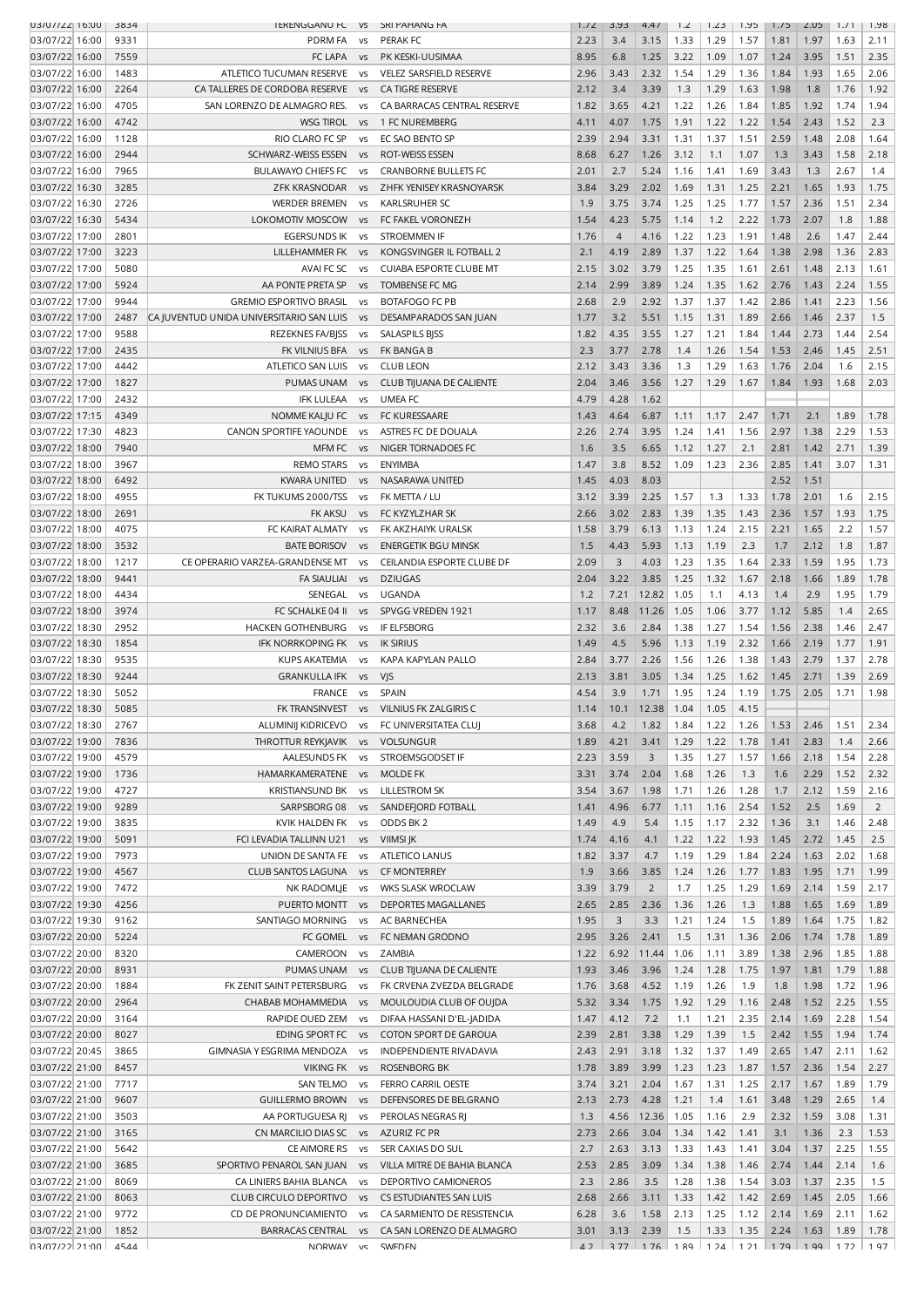| U3/U7/22 16:00                   | 3834 | <b>ILKLINGGANU FL</b>                    | - VS           | <b>SKI PAHAING FA</b>          | 1.72 | 3.93           | 4.4/           | 1.2  | 1.23  | 1.95  | 1.75 | CU.S | 1.71 | 1.98           |
|----------------------------------|------|------------------------------------------|----------------|--------------------------------|------|----------------|----------------|------|-------|-------|------|------|------|----------------|
| 03/07/22 16:00                   | 9331 | PDRM FA                                  | VS             | <b>PERAK FC</b>                | 2.23 | 3.4            | 3.15           | 1.33 | 1.29  | 1.57  | 1.81 | 1.97 | 1.63 | 2.11           |
| 03/07/22 16:00                   | 7559 | FC LAPA                                  | <b>VS</b>      | PK KESKI-UUSIMAA               | 8.95 | 6.8            | 1.25           | 3.22 | 1.09  | 1.07  | 1.24 | 3.95 | 1.51 | 2.35           |
|                                  |      |                                          |                |                                |      |                |                |      |       |       |      |      |      |                |
| 03/07/22 16:00                   | 1483 | ATLETICO TUCUMAN RESERVE                 | <b>VS</b>      | <b>VELEZ SARSFIELD RESERVE</b> | 2.96 | 3.43           | 2.32           | 1.54 | 1.29  | 1.36  | 1.84 | 1.93 | 1.65 | 2.06           |
| 03/07/22 16:00                   | 2264 | CA TALLERES DE CORDOBA RESERVE           | V <sub>S</sub> | CA TIGRE RESERVE               | 2.12 | 3.4            | 3.39           | 1.3  | 1.29  | 1.63  | 1.98 | 1.8  | 1.76 | 1.92           |
| 03/07/22 16:00                   | 4705 | SAN LORENZO DE ALMAGRO RES.              | VS             | CA BARRACAS CENTRAL RESERVE    | 1.82 | 3.65           | 4.21           | 1.22 | 1.26  | 1.84  | 1.85 | 1.92 | 1.74 | 1.94           |
| 03/07/22 16:00                   | 4742 | <b>WSG TIROL</b>                         | <b>VS</b>      | 1 FC NUREMBERG                 | 4.11 | 4.07           | 1.75           | 1.91 | 1.22  | 1.22  | 1.54 | 2.43 | 1.52 | 2.3            |
| 03/07/22 16:00                   | 1128 | RIO CLARO FC SP                          | VS             | EC SAO BENTO SP                | 2.39 | 2.94           | 3.31           | 1.31 | 1.37  | 1.51  | 2.59 | 1.48 | 2.08 | 1.64           |
| 03/07/22 16:00                   | 2944 | SCHWARZ-WEISS ESSEN                      | <b>VS</b>      | ROT-WEISS ESSEN                | 8.68 | 6.27           | 1.26           | 3.12 | 1.1   | 1.07  | 1.3  | 3.43 | 1.58 | 2.18           |
|                                  |      |                                          |                |                                |      |                |                |      |       |       |      |      |      |                |
| 03/07/22 16:00                   | 7965 | <b>BULAWAYO CHIEFS FC</b>                | <b>VS</b>      | <b>CRANBORNE BULLETS FC</b>    | 2.01 | 2.7            | 5.24           | 1.16 | 1.41  | 1.69  | 3.43 | 1.3  | 2.67 | 1.4            |
| 03/07/22 16:30                   | 3285 | <b>ZFK KRASNODAR</b>                     | <b>VS</b>      | ZHFK YENISEY KRASNOYARSK       | 3.84 | 3.29           | 2.02           | 1.69 | 1.31  | 1.25  | 2.21 | 1.65 | 1.93 | 1.75           |
| 03/07/22 16:30                   | 2726 | <b>WERDER BREMEN</b>                     | <b>VS</b>      | <b>KARLSRUHER SC</b>           | 1.9  | 3.75           | 3.74           | 1.25 | 1.25  | 1.77  | 1.57 | 2.36 | 1.51 | 2.34           |
| 03/07/22 16:30                   | 5434 | <b>LOKOMOTIV MOSCOW</b>                  | V <sub>S</sub> | FC FAKEL VORONEZH              | 1.54 | 4.23           | 5.75           | 1.14 | 1.2   | 2.22  | 1.73 | 2.07 | 1.8  | 1.88           |
| 03/07/22 17:00                   | 2801 | <b>EGERSUNDS IK</b>                      | <b>VS</b>      | STROEMMEN IF                   | 1.76 | $\overline{4}$ | 4.16           | 1.22 | 1.23  | 1.91  | 1.48 | 2.6  | 1.47 | 2.44           |
| 03/07/22 17:00                   | 3223 | LILLEHAMMER FK                           | <b>VS</b>      | KONGSVINGER IL FOTBALL 2       | 2.1  | 4.19           | 2.89           | 1.37 | 1.22  | 1.64  | 1.38 | 2.98 | 1.36 | 2.83           |
| 03/07/22 17:00                   | 5080 | AVAI FC SC                               |                | <b>CUIABA ESPORTE CLUBE MT</b> | 2.15 | 3.02           | 3.79           | 1.25 | 1.35  | 1.61  | 2.61 | 1.48 | 2.13 | 1.61           |
|                                  |      |                                          | VS             |                                |      |                |                |      |       |       |      |      |      |                |
| 03/07/22 17:00                   | 5924 | AA PONTE PRETA SP                        | V <sub>S</sub> | TOMBENSE FC MG                 | 2.14 | 2.99           | 3.89           | 1.24 | 1.35  | 1.62  | 2.76 | 1.43 | 2.24 | 1.55           |
| 03/07/22 17:00                   | 9944 | <b>GREMIO ESPORTIVO BRASIL</b>           | <b>VS</b>      | <b>BOTAFOGO FC PB</b>          | 2.68 | 2.9            | 2.92           | 1.37 | 1.37  | 1.42  | 2.86 | 1.41 | 2.23 | 1.56           |
| 03/07/22 17:00                   | 2487 | CA JUVENTUD UNIDA UNIVERSITARIO SAN LUIS | <b>VS</b>      | DESAMPARADOS SAN JUAN          | 1.77 | 3.2            | 5.51           | 1.15 | 1.31  | 1.89  | 2.66 | 1.46 | 2.37 | 1.5            |
| 03/07/22 17:00                   | 9588 | REZEKNES FA/BJSS                         | <b>VS</b>      | <b>SALASPILS BISS</b>          | 1.82 | 4.35           | 3.55           | 1.27 | 1.21  | 1.84  | 1.44 | 2.73 | 1.44 | 2.54           |
| 03/07/22 17:00                   | 2435 | FK VILNIUS BFA                           | V <sub>S</sub> | FK BANGA B                     | 2.3  | 3.77           | 2.78           | 1.4  | 1.26  | 1.54  | 1.53 | 2.46 | 1.45 | 2.51           |
| 03/07/22 17:00                   | 4442 | ATLETICO SAN LUIS                        | <b>VS</b>      | <b>CLUB LEON</b>               | 2.12 | 3.43           | 3.36           | 1.3  | 1.29  | 1.63  | 1.76 | 2.04 | 1.6  | 2.15           |
|                                  |      |                                          |                |                                |      |                |                |      |       |       |      |      |      |                |
| 03/07/22 17:00                   | 1827 | PUMAS UNAM                               | <b>VS</b>      | CLUB TIJUANA DE CALIENTE       | 2.04 | 3.46           | 3.56           | 1.27 | 1.29  | 1.67  | 1.84 | 1.93 | 1.68 | 2.03           |
| 03/07/22 17:00                   | 2432 | <b>IFK LULEAA</b>                        | <b>VS</b>      | <b>UMEA FC</b>                 | 4.79 | 4.28           | 1.62           |      |       |       |      |      |      |                |
| 03/07/22 17:15                   | 4349 | NOMME KALJU FC                           | VS             | FC KURESSAARE                  | 1.43 | 4.64           | 6.87           | 1.11 | 1.17  | 2.47  | 1.71 | 2.1  | 1.89 | 1.78           |
| 03/07/22 17:30                   | 4823 | CANON SPORTIFE YAOUNDE                   | <b>VS</b>      | ASTRES FC DE DOUALA            | 2.26 | 2.74           | 3.95           | 1.24 | 1.41  | 1.56  | 2.97 | 1.38 | 2.29 | 1.53           |
| 03/07/22 18:00                   | 7940 | MFM FC                                   | <b>VS</b>      | NIGER TORNADOES FC             | 1.6  | 3.5            | 6.65           | 1.12 | 1.27  | 2.1   | 2.81 | 1.42 | 2.71 | 1.39           |
| 03/07/22 18:00                   | 3967 | <b>REMO STARS</b>                        | <b>VS</b>      | <b>ENYIMBA</b>                 | 1.47 | 3.8            | 8.52           | 1.09 | 1.23  | 2.36  | 2.85 | 1.41 | 3.07 | 1.31           |
| 03/07/22 18:00                   | 6492 | <b>KWARA UNITED</b>                      | V <sub>S</sub> | NASARAWA UNITED                | 1.45 | 4.03           | 8.03           |      |       |       | 2.52 | 1.51 |      |                |
|                                  |      |                                          |                |                                |      |                |                |      |       |       |      |      |      |                |
| 03/07/22 18:00                   | 4955 | FK TUKUMS 2000/TSS                       | <b>VS</b>      | FK METTA / LU                  | 3.12 | 3.39           | 2.25           | 1.57 | 1.3   | 1.33  | 1.78 | 2.01 | 1.6  | 2.15           |
| 03/07/22 18:00                   | 2691 | <b>FK AKSU</b>                           | <b>VS</b>      | FC KYZYLZHAR SK                | 2.66 | 3.02           | 2.83           | 1.39 | 1.35  | 1.43  | 2.36 | 1.57 | 1.93 | 1.75           |
| 03/07/22 18:00                   | 4075 | FC KAIRAT ALMATY                         | VS             | FK AKZHAIYK URALSK             | 1.58 | 3.79           | 6.13           | 1.13 | 1.24  | 2.15  | 2.21 | 1.65 | 2.2  | 1.57           |
| 03/07/22 18:00                   | 3532 | <b>BATE BORISOV</b>                      | <b>VS</b>      | <b>ENERGETIK BGU MINSK</b>     | 1.5  | 4.43           | 5.93           | 1.13 | 1.19  | 2.3   | 1.7  | 2.12 | 1.8  | 1.87           |
| 03/07/22 18:00                   | 1217 | CE OPERARIO VARZEA-GRANDENSE MT          | <b>VS</b>      | CEILANDIA ESPORTE CLUBE DF     | 2.09 | 3              | 4.03           | 1.23 | 1.35  | 1.64  | 2.33 | 1.59 | 1.95 | 1.73           |
| 03/07/22 18:00                   | 9441 | <b>FA SIAULIAI</b>                       | <b>VS</b>      | <b>DZIUGAS</b>                 | 2.04 | 3.22           | 3.85           | 1.25 | 1.32  | 1.67  | 2.18 | 1.66 | 1.89 | 1.78           |
| 03/07/22 18:00                   | 4434 | SENEGAL                                  | <b>VS</b>      | UGANDA                         | 1.2  | 7.21           | 12.82          | 1.05 | 1.1   | 4.13  | 1.4  | 2.9  | 1.95 | 1.79           |
|                                  |      |                                          |                |                                |      |                |                |      |       | 3.77  |      |      |      | 2.65           |
| 03/07/22 18:00                   | 3974 | FC SCHALKE 04 II                         | <b>VS</b>      | SPVGG VREDEN 1921              | 1.17 | 8.48           | 11.26          | 1.05 | 1.06  |       | 1.12 | 5.85 | 1.4  |                |
| 03/07/22 18:30                   | 2952 | HACKEN GOTHENBURG                        | vs             | <b>IF ELFSBORG</b>             | 2.32 | 3.6            | 2.84           | 1.38 | 1.27  | 1.54  | 1.56 | 2.38 | 1.46 | 2.47           |
| 03/07/22 18:30                   | 1854 | <b>IFK NORRKOPING FK</b>                 | <b>VS</b>      | <b>IK SIRIUS</b>               | 1.49 | 4.5            | 5.96           | 1.13 | 1.19  | 2.32  | 1.66 | 2.19 | 1.77 | 1.91           |
| 03/07/22 18:30                   | 9535 | <b>KUPS AKATEMIA</b>                     | <b>VS</b>      | KAPA KAPYLAN PALLO             | 2.84 | 3.77           | 2.26           | 1.56 | 1.26  | 1.38  | 1.43 | 2.79 | 1.37 | 2.78           |
| 03/07/22 18:30                   | 9244 | <b>GRANKULLA IFK</b>                     | <b>VS</b>      | VJS                            | 2.13 | 3.81           | 3.05           | 1.34 | 1.25  | 1.62  | 1.45 | 2.71 | 1.39 | 2.69           |
| 03/07/22 18:30                   | 5052 | <b>FRANCE</b>                            | <b>VS</b>      | SPAIN                          | 4.54 | 3.9            | 1.71           | 1.95 | 1.24  | 1.19  | 1.75 | 2.05 | 1.71 | 1.98           |
| 03/07/22 18:30                   | 5085 | FK TRANSINVEST                           | <b>VS</b>      | VILNIUS FK ZALGIRIS C          | 1.14 | 10.1           | 12.38          | 1.04 | 1.05  | 4.15  |      |      |      |                |
|                                  | 2767 | ALUMINIJ KIDRICEVO                       |                | FC UNIVERSITATEA CLUJ          | 3.68 | 4.2            | 1.82           | 1.84 | 1.22  | 1.26  | 1.53 | 2.46 | 1.51 | 2.34           |
| 03/07/22 18:30                   |      |                                          | VS             |                                |      |                |                |      |       |       |      |      |      |                |
| 03/07/22 19:00                   | 7836 | THROTTUR REYKJAVIK                       | <b>VS</b>      | <b>VOLSUNGUR</b>               | 1.89 | 4.21           | 3.41           | 1.29 | 1.22  | 1.78  | 1.41 | 2.83 | 1.4  | 2.66           |
| 03/07/22 19:00                   | 4579 | AALESUNDS FK                             | <b>VS</b>      | STROEMSGODSET IF               | 2.23 | 3.59           | 3              | 1.35 | 1.27  | 1.57  | 1.66 | 2.18 | 1.54 | 2.28           |
| 03/07/22 19:00                   | 1736 | HAMARKAMERATENE                          | <b>VS</b>      | <b>MOLDE FK</b>                | 3.31 | 3.74           | 2.04           | 1.68 | 1.26  | 1.3   | 1.6  | 2.29 | 1.52 | 2.32           |
| 03/07/22 19:00                   | 4727 | <b>KRISTIANSUND BK</b>                   | <b>VS</b>      | <b>LILLESTROM SK</b>           | 3.54 | 3.67           | 1.98           | 1.71 | 1.26  | 1.28  | 1.7  | 2.12 | 1.59 | 2.16           |
| 03/07/22 19:00                   | 9289 | SARPSBORG 08                             | <b>VS</b>      | SANDEFJORD FOTBALL             | 1.41 | 4.96           | 6.77           | 1.11 | 1.16  | 2.54  | 1.52 | 2.5  | 1.69 | $\overline{2}$ |
| 03/07/22 19:00                   | 3835 | KVIK HALDEN FK                           | <b>VS</b>      | ODDS BK <sub>2</sub>           | 1.49 | 4.9            | 5.4            | 1.15 | 1.17  | 2.32  | 1.36 | 3.1  | 1.46 | 2.48           |
| 03/07/22 19:00                   | 5091 | FCI LEVADIA TALLINN U21                  | <b>VS</b>      | <b>VIIMSI JK</b>               | 1.74 | 4.16           | 4.1            | 1.22 | 1.22  | 1.93  | 1.45 | 2.72 | 1.45 | 2.5            |
| 03/07/22 19:00                   | 7973 | UNION DE SANTA FE                        | <b>VS</b>      | ATLETICO LANUS                 | 1.82 | 3.37           | 4.7            | 1.19 | 1.29  | 1.84  | 2.24 | 1.63 | 2.02 | 1.68           |
|                                  |      |                                          |                |                                |      |                |                |      |       |       |      |      |      |                |
| 03/07/22 19:00                   | 4567 | CLUB SANTOS LAGUNA                       | <b>VS</b>      | <b>CF MONTERREY</b>            | 1.9  | 3.66           | 3.85           | 1.24 | 1.26  | 1.77  | 1.83 | 1.95 | 1.71 | 1.99           |
| 03/07/22 19:00                   | 7472 | NK RADOMLJE                              | vs             | WKS SLASK WROCLAW              | 3.39 | 3.79           | $\overline{2}$ | 1.7  | 1.25  | 1.29  | 1.69 | 2.14 | 1.59 | 2.17           |
| 03/07/22 19:30                   | 4256 | PUERTO MONTT                             | <b>VS</b>      | <b>DEPORTES MAGALLANES</b>     | 2.65 | 2.85           | 2.36           | 1.36 | 1.26  | 1.3   | 1.88 | 1.65 | 1.69 | 1.89           |
| 03/07/22 19:30                   | 9162 | SANTIAGO MORNING                         | <b>VS</b>      | AC BARNECHEA                   | 1.95 | 3              | 3.3            | 1.21 | 1.24  | 1.5   | 1.89 | 1.64 | 1.75 | 1.82           |
| 03/07/22 20:00                   | 5224 | FC GOMEL                                 | <b>VS</b>      | FC NEMAN GRODNO                | 2.95 | 3.26           | 2.41           | 1.5  | 1.31  | 1.36  | 2.06 | 1.74 | 1.78 | 1.89           |
| 03/07/22 20:00                   | 8320 | CAMEROON                                 | vs             | ZAMBIA                         | 1.22 | 6.92           | 11.44          | 1.06 | 1.11  | 3.89  | 1.38 | 2.96 | 1.85 | 1.88           |
| 03/07/22 20:00                   | 8931 | PUMAS UNAM                               | <b>VS</b>      | CLUB TIJUANA DE CALIENTE       | 1.93 | 3.46           | 3.96           | 1.24 | 1.28  | 1.75  | 1.97 | 1.81 | 1.79 | 1.88           |
| 03/07/22 20:00                   | 1884 | FK ZENIT SAINT PETERSBURG                | VS             | FK CRVENA ZVEZDA BELGRADE      | 1.76 | 3.68           | 4.52           | 1.19 | 1.26  | 1.9   | 1.8  | 1.98 | 1.72 | 1.96           |
|                                  |      |                                          |                |                                |      |                |                |      |       |       |      |      |      |                |
| 03/07/22 20:00                   | 2964 | CHABAB MOHAMMEDIA                        | <b>VS</b>      | MOULOUDIA CLUB OF OUJDA        | 5.32 | 3.34           | 1.75           | 1.92 | 1.29  | 1.16  | 2.48 | 1.52 | 2.25 | 1.55           |
| 03/07/22 20:00                   | 3164 | RAPIDE OUED ZEM                          | <b>VS</b>      | DIFAA HASSANI D'EL-JADIDA      | 1.47 | 4.12           | 7.2            | 1.1  | 1.21  | 2.35  | 2.14 | 1.69 | 2.28 | 1.54           |
| 03/07/22 20:00                   | 8027 | EDING SPORT FC                           | <b>VS</b>      | COTON SPORT DE GAROUA          | 2.39 | 2.81           | 3.38           | 1.29 | 1.39  | 1.5   | 2.42 | 1.55 | 1.94 | 1.74           |
| 03/07/22 20:45                   | 3865 | GIMNASIA Y ESGRIMA MENDOZA               | VS             | INDEPENDIENTE RIVADAVIA        | 2.43 | 2.91           | 3.18           | 1.32 | 1.37  | 1.49  | 2.65 | 1.47 | 2.11 | 1.62           |
| 03/07/22 21:00                   | 8457 | VIKING FK                                | <b>VS</b>      | <b>ROSENBORG BK</b>            | 1.78 | 3.89           | 3.99           | 1.23 | 1.23  | 1.87  | 1.57 | 2.36 | 1.54 | 2.27           |
| 03/07/22 21:00                   | 7717 | SAN TELMO                                | <b>VS</b>      | FERRO CARRIL OESTE             | 3.74 | 3.21           | 2.04           | 1.67 | 1.31  | 1.25  | 2.17 | 1.67 | 1.89 | 1.79           |
| 03/07/22 21:00                   | 9607 | <b>GUILLERMO BROWN</b>                   | <b>VS</b>      | DEFENSORES DE BELGRANO         | 2.13 | 2.73           | 4.28           | 1.21 | 1.4   | 1.61  | 3.48 | 1.29 | 2.65 | 1.4            |
|                                  |      |                                          |                |                                |      |                |                |      |       |       |      |      |      |                |
| 03/07/22 21:00                   | 3503 | AA PORTUGUESA RJ                         | <b>VS</b>      | PEROLAS NEGRAS RJ              | 1.3  | 4.56           | 12.36          | 1.05 | 1.16  | 2.9   | 2.32 | 1.59 | 3.08 | 1.31           |
| 03/07/22 21:00                   | 3165 | CN MARCILIO DIAS SC                      | <b>VS</b>      | <b>AZURIZ FC PR</b>            | 2.73 | 2.66           | 3.04           | 1.34 | 1.42  | 1.41  | 3.1  | 1.36 | 2.3  | 1.53           |
| 03/07/22 21:00                   | 5642 | CE AIMORE RS                             | <b>VS</b>      | SER CAXIAS DO SUL              | 2.7  | 2.63           | 3.13           | 1.33 | 1.43  | 1.41  | 3.04 | 1.37 | 2.25 | 1.55           |
| 03/07/22 21:00                   | 3685 | SPORTIVO PENAROL SAN JUAN                | <b>VS</b>      | VILLA MITRE DE BAHIA BLANCA    | 2.53 | 2.85           | 3.09           | 1.34 | 1.38  | 1.46  | 2.74 | 1.44 | 2.14 | 1.6            |
| 03/07/22 21:00                   | 8069 | CA LINIERS BAHIA BLANCA                  | <b>VS</b>      | <b>DEPORTIVO CAMIONEROS</b>    | 2.3  | 2.86           | 3.5            | 1.28 | 1.38  | 1.54  | 3.03 | 1.37 | 2.35 | 1.5            |
| 03/07/22 21:00                   | 8063 | CLUB CIRCULO DEPORTIVO                   | <b>VS</b>      | CS ESTUDIANTES SAN LUIS        | 2.68 | 2.66           | 3.11           | 1.33 | 1.42  | 1.42  | 2.69 | 1.45 | 2.05 | 1.66           |
| 03/07/22 21:00                   | 9772 | CD DE PRONUNCIAMIENTO                    | <b>VS</b>      | CA SARMIENTO DE RESISTENCIA    | 6.28 | 3.6            | 1.58           | 2.13 | 1.25  | 1.12  | 2.14 | 1.69 | 2.11 | 1.62           |
|                                  |      |                                          |                |                                |      |                |                |      |       |       |      |      |      |                |
| 03/07/22 21:00<br>03/07/22 21:00 | 1852 | <b>BARRACAS CENTRAL</b>                  | <b>VS</b>      | CA SAN LORENZO DE ALMAGRO      | 3.01 | 3.13           | 2.39           | 1.5  | 1.33  | 1.35  | 2.24 | 1.63 | 1.89 | 1.78           |
|                                  | 4544 | <b>NORWAY</b>                            | v٢             | <b>SWFDFN</b>                  | 42   | 3.77           | $176$          | 189  | 1 2 4 | 1 2 1 | 179  | 199  | 172  | 197            |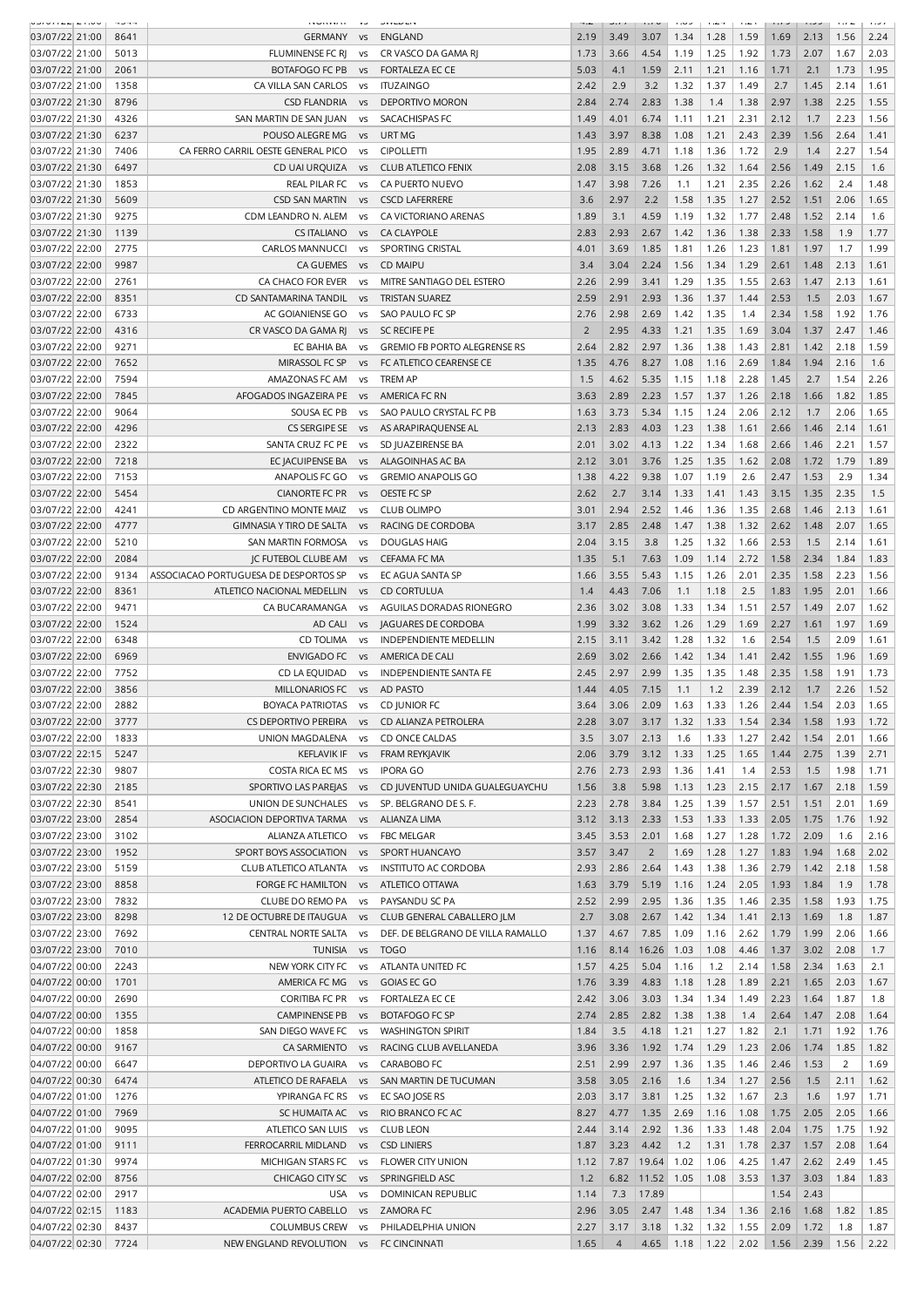| بالحاديث وستساد بالحادث | $\sim$ $\sim$ $\sim$ | .                                     | $\ddotsc$            | والمواصون والمراد                   |                |      |                | $\cdots$ | $\cdots$ | $\cdots$ | $\cdots$ |      | $\cdots$       | $\alpha$ , $\beta$ , $\alpha$ |
|-------------------------|----------------------|---------------------------------------|----------------------|-------------------------------------|----------------|------|----------------|----------|----------|----------|----------|------|----------------|-------------------------------|
| 03/07/22 21:00          | 8641                 | GERMANY                               | VS                   | ENGLAND                             | 2.19           | 3.49 | 3.07           | 1.34     | 1.28     | 1.59     | 1.69     | 2.13 | 1.56           | 2.24                          |
| 03/07/22 21:00          | 5013                 | FLUMINENSE FC RJ                      | vs                   | CR VASCO DA GAMA RJ                 | 1.73           | 3.66 | 4.54           | 1.19     | 1.25     | 1.92     | 1.73     | 2.07 | 1.67           | 2.03                          |
| 03/07/22 21:00          | 2061                 | <b>BOTAFOGO FC PB</b>                 | <b>VS</b>            | <b>FORTALEZA EC CE</b>              | 5.03           | 4.1  | 1.59           | 2.11     | 1.21     | 1.16     | 1.71     | 2.1  | 1.73           | 1.95                          |
| 03/07/22 21:00          | 1358                 | CA VILLA SAN CARLOS                   | vs                   | <b>ITUZAINGO</b>                    | 2.42           | 2.9  | 3.2            | 1.32     | 1.37     | 1.49     | 2.7      | 1.45 | 2.14           | 1.61                          |
| 03/07/22 21:30          | 8796                 | <b>CSD FLANDRIA</b>                   | VS                   | DEPORTIVO MORON                     | 2.84           | 2.74 | 2.83           | 1.38     | 1.4      | 1.38     | 2.97     | 1.38 | 2.25           | 1.55                          |
| 03/07/22 21:30          | 4326                 | SAN MARTIN DE SAN JUAN                | <b>VS</b>            | SACACHISPAS FC                      | 1.49           | 4.01 | 6.74           | 1.11     | 1.21     | 2.31     | 2.12     | 1.7  | 2.23           | 1.56                          |
|                         |                      |                                       |                      |                                     |                |      |                |          |          |          |          |      |                |                               |
| 03/07/22 21:30          | 6237                 | POUSO ALEGRE MG                       | <b>VS</b>            | URT MG                              | 1.43           | 3.97 | 8.38           | 1.08     | 1.21     | 2.43     | 2.39     | 1.56 | 2.64           | 1.41                          |
| 03/07/22 21:30          | 7406                 | CA FERRO CARRIL OESTE GENERAL PICO    | <b>VS</b>            | <b>CIPOLLETTI</b>                   | 1.95           | 2.89 | 4.71           | 1.18     | 1.36     | 1.72     | 2.9      | 1.4  | 2.27           | 1.54                          |
| 03/07/22 21:30          | 6497                 | CD UAI URQUIZA                        | <b>VS</b>            | <b>CLUB ATLETICO FENIX</b>          | 2.08           | 3.15 | 3.68           | 1.26     | 1.32     | 1.64     | 2.56     | 1.49 | 2.15           | 1.6                           |
| 03/07/22 21:30          | 1853                 | REAL PILAR FC                         | VS                   | CA PUERTO NUEVO                     | 1.47           | 3.98 | 7.26           | 1.1      | 1.21     | 2.35     | 2.26     | 1.62 | 2.4            | 1.48                          |
| 03/07/22 21:30          | 5609                 | <b>CSD SAN MARTIN</b>                 | <b>VS</b>            | <b>CSCD LAFERRERE</b>               | 3.6            | 2.97 | 2.2            | 1.58     | 1.35     | 1.27     | 2.52     | 1.51 | 2.06           | 1.65                          |
| 03/07/22 21:30          | 9275                 | CDM LEANDRO N. ALEM                   | vs                   | CA VICTORIANO ARENAS                | 1.89           | 3.1  | 4.59           | 1.19     | 1.32     | 1.77     | 2.48     | 1.52 | 2.14           | 1.6                           |
| 03/07/22 21:30          | 1139                 | <b>CS ITALIANO</b>                    | <b>VS</b>            | <b>CA CLAYPOLE</b>                  | 2.83           | 2.93 | 2.67           | 1.42     | 1.36     | 1.38     | 2.33     | 1.58 | 1.9            | 1.77                          |
| 03/07/22 22:00          | 2775                 | <b>CARLOS MANNUCCI</b>                | <b>VS</b>            | SPORTING CRISTAL                    | 4.01           | 3.69 | 1.85           | 1.81     | 1.26     | 1.23     | 1.81     | 1.97 | 1.7            | 1.99                          |
|                         |                      |                                       |                      |                                     |                |      |                |          |          |          |          |      |                |                               |
| 03/07/22 22:00          | 9987                 | CA GUEMES                             | <b>VS</b>            | <b>CD MAIPU</b>                     | 3.4            | 3.04 | 2.24           | 1.56     | 1.34     | 1.29     | 2.61     | 1.48 | 2.13           | 1.61                          |
| 03/07/22 22:00          | 2761                 | CA CHACO FOR EVER                     | <b>VS</b>            | MITRE SANTIAGO DEL ESTERO           | 2.26           | 2.99 | 3.41           | 1.29     | 1.35     | 1.55     | 2.63     | 1.47 | 2.13           | 1.61                          |
| 03/07/22 22:00          | 8351                 | CD SANTAMARINA TANDIL                 | VS                   | <b>TRISTAN SUAREZ</b>               | 2.59           | 2.91 | 2.93           | 1.36     | 1.37     | 1.44     | 2.53     | 1.5  | 2.03           | 1.67                          |
| 03/07/22 22:00          | 6733                 | AC GOIANIENSE GO                      | vs                   | SAO PAULO FC SP                     | 2.76           | 2.98 | 2.69           | 1.42     | 1.35     | 1.4      | 2.34     | 1.58 | 1.92           | 1.76                          |
| 03/07/22 22:00          | 4316                 | CR VASCO DA GAMA RJ                   | <b>VS</b>            | <b>SC RECIFE PE</b>                 | $\overline{2}$ | 2.95 | 4.33           | 1.21     | 1.35     | 1.69     | 3.04     | 1.37 | 2.47           | 1.46                          |
| 03/07/22 22:00          | 9271                 | EC BAHIA BA                           | vs                   | <b>GREMIO FB PORTO ALEGRENSE RS</b> | 2.64           | 2.82 | 2.97           | 1.36     | 1.38     | 1.43     | 2.81     | 1.42 | 2.18           | 1.59                          |
| 03/07/22 22:00          | 7652                 | MIRASSOL FC SP                        | VS                   | FC ATLETICO CEARENSE CE             | 1.35           | 4.76 | 8.27           | 1.08     | 1.16     | 2.69     | 1.84     | 1.94 | 2.16           | 1.6                           |
| 03/07/22 22:00          | 7594                 | AMAZONAS FC AM                        | vs                   | <b>TREM AP</b>                      | 1.5            | 4.62 | 5.35           | 1.15     | 1.18     | 2.28     | 1.45     | 2.7  | 1.54           | 2.26                          |
|                         |                      |                                       |                      |                                     |                |      |                |          |          |          |          |      |                |                               |
| 03/07/22 22:00          | 7845                 | AFOGADOS INGAZEIRA PE                 | <b>VS</b>            | AMERICA FC RN                       | 3.63           | 2.89 | 2.23           | 1.57     | 1.37     | 1.26     | 2.18     | 1.66 | 1.82           | 1.85                          |
| 03/07/22 22:00          | 9064                 | SOUSA EC PB                           | <b>VS</b>            | SAO PAULO CRYSTAL FC PB             | 1.63           | 3.73 | 5.34           | 1.15     | 1.24     | 2.06     | 2.12     | 1.7  | 2.06           | 1.65                          |
| 03/07/22 22:00          | 4296                 | CS SERGIPE SE                         | <b>VS</b>            | AS ARAPIRAQUENSE AL                 | 2.13           | 2.83 | 4.03           | 1.23     | 1.38     | 1.61     | 2.66     | 1.46 | 2.14           | 1.61                          |
| 03/07/22 22:00          | 2322                 | SANTA CRUZ FC PE                      | VS                   | SD JUAZEIRENSE BA                   | 2.01           | 3.02 | 4.13           | 1.22     | 1.34     | 1.68     | 2.66     | 1.46 | 2.21           | 1.57                          |
| 03/07/22 22:00          | 7218                 | EC JACUIPENSE BA                      | <b>VS</b>            | ALAGOINHAS AC BA                    | 2.12           | 3.01 | 3.76           | 1.25     | 1.35     | 1.62     | 2.08     | 1.72 | 1.79           | 1.89                          |
| 03/07/22 22:00          | 7153                 | ANAPOLIS FC GO                        | VS                   | <b>GREMIO ANAPOLIS GO</b>           | 1.38           | 4.22 | 9.38           | 1.07     | 1.19     | 2.6      | 2.47     | 1.53 | 2.9            | 1.34                          |
| 03/07/22 22:00          | 5454                 | <b>CIANORTE FC PR</b>                 | VS                   | OESTE FC SP                         | 2.62           | 2.7  | 3.14           | 1.33     | 1.41     | 1.43     | 3.15     | 1.35 | 2.35           | 1.5                           |
| 03/07/22 22:00          | 4241                 | CD ARGENTINO MONTE MAIZ               | vs                   | <b>CLUB OLIMPO</b>                  | 3.01           | 2.94 | 2.52           | 1.46     | 1.36     | 1.35     | 2.68     | 1.46 | 2.13           | 1.61                          |
|                         |                      |                                       |                      |                                     |                |      |                |          |          |          |          |      |                |                               |
| 03/07/22 22:00          | 4777                 | GIMNASIA Y TIRO DE SALTA              | <b>V<sub>S</sub></b> | RACING DE CORDOBA                   | 3.17           | 2.85 | 2.48           | 1.47     | 1.38     | 1.32     | 2.62     | 1.48 | 2.07           | 1.65                          |
| 03/07/22 22:00          | 5210                 | SAN MARTIN FORMOSA                    | <b>VS</b>            | <b>DOUGLAS HAIG</b>                 | 2.04           | 3.15 | 3.8            | 1.25     | 1.32     | 1.66     | 2.53     | 1.5  | 2.14           | 1.61                          |
| 03/07/22 22:00          | 2084                 | JC FUTEBOL CLUBE AM                   | <b>VS</b>            | <b>CEFAMA FC MA</b>                 | 1.35           | 5.1  | 7.63           | 1.09     | 1.14     | 2.72     | 1.58     | 2.34 | 1.84           | 1.83                          |
| 03/07/22 22:00          | 9134                 | ASSOCIACAO PORTUGUESA DE DESPORTOS SP | VS                   | EC AGUA SANTA SP                    | 1.66           | 3.55 | 5.43           | 1.15     | 1.26     | 2.01     | 2.35     | 1.58 | 2.23           | 1.56                          |
| 03/07/22 22:00          | 8361                 | ATLETICO NACIONAL MEDELLIN            | <b>VS</b>            | <b>CD CORTULUA</b>                  | 1.4            | 4.43 | 7.06           | 1.1      | 1.18     | 2.5      | 1.83     | 1.95 | 2.01           | 1.66                          |
| 03/07/22 22:00          | 9471                 | CA BUCARAMANGA                        | vs                   | AGUILAS DORADAS RIONEGRO            | 2.36           | 3.02 | 3.08           | 1.33     | 1.34     | 1.51     | 2.57     | 1.49 | 2.07           | 1.62                          |
| 03/07/22 22:00          | 1524                 | AD CALI                               | VS                   | JAGUARES DE CORDOBA                 | 1.99           | 3.32 | 3.62           | 1.26     | 1.29     | 1.69     | 2.27     | 1.61 | 1.97           | 1.69                          |
| 03/07/22 22:00          | 6348                 | <b>CD TOLIMA</b>                      | vs                   | <b>INDEPENDIENTE MEDELLIN</b>       | 2.15           | 3.11 | 3.42           | 1.28     | 1.32     | 1.6      | 2.54     | 1.5  | 2.09           | 1.61                          |
|                         |                      |                                       |                      |                                     |                |      |                |          |          |          |          |      |                |                               |
| 03/07/22 22:00          | 6969                 | <b>ENVIGADO FC</b>                    | VS                   | AMERICA DE CALI                     | 2.69           | 3.02 | 2.66           | 1.42     | 1.34     | 1.41     | 2.42     | 1.55 | 1.96           | 1.69                          |
| 03/07/22 22:00          | 7752                 | CD LA EQUIDAD                         | vs                   | <b>INDEPENDIENTE SANTA FE</b>       | 2.45           | 2.97 | 2.99           | 1.35     | 1.35     | 1.48     | 2.35     | 1.58 | 1.91           | 1.73                          |
| 03/07/22 22:00          | 3856                 | <b>MILLONARIOS FC</b>                 | <b>VS</b>            | AD PASTO                            | 1.44           | 4.05 | 7.15           | 1.1      | 1.2      | 2.39     | 2.12     | 1.7  | 2.26           | 1.52                          |
| 03/07/22 22:00          | 2882                 | <b>BOYACA PATRIOTAS</b>               | VS                   | CD JUNIOR FC                        | 3.64           | 3.06 | 2.09           | 1.63     | 1.33     | 1.26     | 2.44     | 1.54 | 2.03           | 1.65                          |
| 03/07/22 22:00          | 3777                 | CS DEPORTIVO PEREIRA                  | VS                   | CD ALIANZA PETROLERA                | 2.28           | 3.07 | 3.17           | 1.32     | 1.33     | 1.54     | 2.34     | 1.58 | 1.93           | 1.72                          |
| 03/07/22 22:00          | 1833                 | UNION MAGDALENA                       | <b>VS</b>            | CD ONCE CALDAS                      | 3.5            | 3.07 | 2.13           | 1.6      | 1.33     | 1.27     | 2.42     | 1.54 | 2.01           | 1.66                          |
| 03/07/22 22:15          | 5247                 | <b>KEFLAVIK IF</b>                    | <b>VS</b>            | FRAM REYKJAVIK                      | 2.06           | 3.79 | 3.12           | 1.33     | 1.25     | 1.65     | 1.44     | 2.75 | 1.39           | 2.71                          |
|                         | 9807                 |                                       |                      |                                     |                |      |                |          |          |          |          |      |                |                               |
| 03/07/22 22:30          |                      | COSTA RICA EC MS                      | VS                   | <b>IPORA GO</b>                     | 2.76           | 2.73 | 2.93           | 1.36     | 1.41     | 1.4      | 2.53     | 1.5  | 1.98           | 1.71                          |
| 03/07/22 22:30          | 2185                 | SPORTIVO LAS PAREJAS                  | <b>VS</b>            | CD JUVENTUD UNIDA GUALEGUAYCHU      | 1.56           | 3.8  | 5.98           | 1.13     | 1.23     | 2.15     | 2.17     | 1.67 | 2.18           | 1.59                          |
| 03/07/22 22:30          | 8541                 | UNION DE SUNCHALES                    | <b>VS</b>            | SP. BELGRANO DE S. F.               | 2.23           | 2.78 | 3.84           | 1.25     | 1.39     | 1.57     | 2.51     | 1.51 | 2.01           | 1.69                          |
| 03/07/22 23:00          | 2854                 | ASOCIACION DEPORTIVA TARMA            | VS                   | ALIANZA LIMA                        | 3.12           | 3.13 | 2.33           | 1.53     | 1.33     | 1.33     | 2.05     | 1.75 | 1.76           | 1.92                          |
| 03/07/22 23:00          | 3102                 | ALIANZA ATLETICO                      | VS                   | <b>FBC MELGAR</b>                   | 3.45           | 3.53 | 2.01           | 1.68     | 1.27     | 1.28     | 1.72     | 2.09 | 1.6            | 2.16                          |
| 03/07/22 23:00          | 1952                 | SPORT BOYS ASSOCIATION                | <b>VS</b>            | SPORT HUANCAYO                      | 3.57           | 3.47 | $\overline{2}$ | 1.69     | 1.28     | 1.27     | 1.83     | 1.94 | 1.68           | 2.02                          |
| 03/07/22 23:00          | 5159                 | <b>CLUB ATLETICO ATLANTA</b>          | <b>VS</b>            | <b>INSTITUTO AC CORDOBA</b>         | 2.93           | 2.86 | 2.64           | 1.43     | 1.38     | 1.36     | 2.79     | 1.42 | 2.18           | 1.58                          |
| 03/07/22 23:00          | 8858                 | <b>FORGE FC HAMILTON</b>              | <b>VS</b>            | ATLETICO OTTAWA                     | 1.63           | 3.79 | 5.19           | 1.16     | 1.24     | 2.05     | 1.93     | 1.84 | 1.9            | 1.78                          |
| 03/07/22 23:00          | 7832                 | CLUBE DO REMO PA                      |                      | PAYSANDU SC PA                      | 2.52           | 2.99 | 2.95           | 1.36     | 1.35     | 1.46     | 2.35     | 1.58 | 1.93           | 1.75                          |
|                         |                      |                                       | <b>VS</b>            |                                     |                |      |                |          |          |          |          |      |                |                               |
| 03/07/22 23:00          | 8298                 | 12 DE OCTUBRE DE ITAUGUA              | <b>VS</b>            | CLUB GENERAL CABALLERO JLM          | 2.7            | 3.08 | 2.67           | 1.42     | 1.34     | 1.41     | 2.13     | 1.69 | 1.8            | 1.87                          |
| 03/07/22 23:00          | 7692                 | CENTRAL NORTE SALTA                   | <b>VS</b>            | DEF. DE BELGRANO DE VILLA RAMALLO   | 1.37           | 4.67 | 7.85           | 1.09     | 1.16     | 2.62     | 1.79     | 1.99 | 2.06           | 1.66                          |
| 03/07/22 23:00          | 7010                 | <b>TUNISIA</b>                        | vs                   | <b>TOGO</b>                         | 1.16           | 8.14 | 16.26          | 1.03     | 1.08     | 4.46     | 1.37     | 3.02 | 2.08           | 1.7                           |
| 04/07/22 00:00          | 2243                 | NEW YORK CITY FC                      | VS                   | ATLANTA UNITED FC                   | 1.57           | 4.25 | 5.04           | 1.16     | 1.2      | 2.14     | 1.58     | 2.34 | 1.63           | 2.1                           |
| 04/07/22 00:00          | 1701                 | AMERICA FC MG                         | <b>VS</b>            | <b>GOIAS EC GO</b>                  | 1.76           | 3.39 | 4.83           | 1.18     | 1.28     | 1.89     | 2.21     | 1.65 | 2.03           | 1.67                          |
| 04/07/22 00:00          | 2690                 | CORITIBA FC PR                        | <b>VS</b>            | <b>FORTALEZA EC CE</b>              | 2.42           | 3.06 | 3.03           | 1.34     | 1.34     | 1.49     | 2.23     | 1.64 | 1.87           | 1.8                           |
| 04/07/22 00:00          | 1355                 | <b>CAMPINENSE PB</b>                  | <b>VS</b>            | BOTAFOGO FC SP                      | 2.74           | 2.85 | 2.82           | 1.38     | 1.38     | 1.4      | 2.64     | 1.47 | 2.08           | 1.64                          |
| 04/07/22 00:00          | 1858                 | SAN DIEGO WAVE FC                     |                      | <b>WASHINGTON SPIRIT</b>            |                | 3.5  | 4.18           | 1.21     | 1.27     | 1.82     | 2.1      | 1.71 | 1.92           | 1.76                          |
|                         |                      |                                       | VS                   |                                     | 1.84           |      |                |          |          |          |          |      |                |                               |
| 04/07/22 00:00          | 9167                 | <b>CA SARMIENTO</b>                   | <b>VS</b>            | RACING CLUB AVELLANEDA              | 3.96           | 3.36 | 1.92           | 1.74     | 1.29     | 1.23     | 2.06     | 1.74 | 1.85           | 1.82                          |
| 04/07/22 00:00          | 6647                 | DEPORTIVO LA GUAIRA                   | <b>VS</b>            | CARABOBO FC                         | 2.51           | 2.99 | 2.97           | 1.36     | 1.35     | 1.46     | 2.46     | 1.53 | $\overline{2}$ | 1.69                          |
| 04/07/22 00:30          | 6474                 | ATLETICO DE RAFAELA                   | <b>VS</b>            | SAN MARTIN DE TUCUMAN               | 3.58           | 3.05 | 2.16           | 1.6      | 1.34     | 1.27     | 2.56     | 1.5  | 2.11           | 1.62                          |
| 04/07/22 01:00          | 1276                 | YPIRANGA FC RS                        | VS                   | EC SAO JOSE RS                      | 2.03           | 3.17 | 3.81           | 1.25     | 1.32     | 1.67     | 2.3      | 1.6  | 1.97           | 1.71                          |
| 04/07/22 01:00          | 7969                 | SC HUMAITA AC                         | <b>VS</b>            | RIO BRANCO FC AC                    | 8.27           | 4.77 | 1.35           | 2.69     | 1.16     | 1.08     | 1.75     | 2.05 | 2.05           | 1.66                          |
| 04/07/22 01:00          | 9095                 | ATLETICO SAN LUIS                     | <b>VS</b>            | <b>CLUB LEON</b>                    | 2.44           | 3.14 | 2.92           | 1.36     | 1.33     | 1.48     | 2.04     | 1.75 | 1.75           | 1.92                          |
| 04/07/22 01:00          | 9111                 | FERROCARRIL MIDLAND                   | <b>VS</b>            | <b>CSD LINIERS</b>                  | 1.87           | 3.23 | 4.42           | 1.2      | 1.31     | 1.78     | 2.37     | 1.57 | 2.08           | 1.64                          |
| 04/07/22 01:30          | 9974                 |                                       |                      | <b>FLOWER CITY UNION</b>            | 1.12           | 7.87 | 19.64          | 1.02     | 1.06     | 4.25     |          | 2.62 | 2.49           | 1.45                          |
|                         |                      | MICHIGAN STARS FC                     | VS                   |                                     |                |      |                |          |          |          | 1.47     |      |                |                               |
| 04/07/22 02:00          | 8756                 | CHICAGO CITY SC                       | <b>VS</b>            | SPRINGFIELD ASC                     | 1.2            | 6.82 | 11.52          | 1.05     | 1.08     | 3.53     | 1.37     | 3.03 | 1.84           | 1.83                          |
| 04/07/22 02:00          | 2917                 | <b>USA</b>                            | <b>VS</b>            | DOMINICAN REPUBLIC                  | 1.14           | 7.3  | 17.89          |          |          |          | 1.54     | 2.43 |                |                               |
| 04/07/22 02:15          | 1183                 | ACADEMIA PUERTO CABELLO               | VS                   | <b>ZAMORA FC</b>                    | 2.96           | 3.05 | 2.47           | 1.48     | 1.34     | 1.36     | 2.16     | 1.68 | 1.82           | 1.85                          |
| 04/07/22 02:30          | 8437                 | COLUMBUS CREW                         | <b>VS</b>            | PHILADELPHIA UNION                  | 2.27           | 3.17 | 3.18           | 1.32     | 1.32     | 1.55     | 2.09     | 1.72 | 1.8            | 1.87                          |
|                         |                      | NEW ENGLAND REVOLUTION                | VS                   | FC CINCINNATI                       | 1.65           | 4    | 4.65           | 1.18     | 1.22     | 2.02     | 1.56     | 2.39 | 1.56           | 2.22                          |